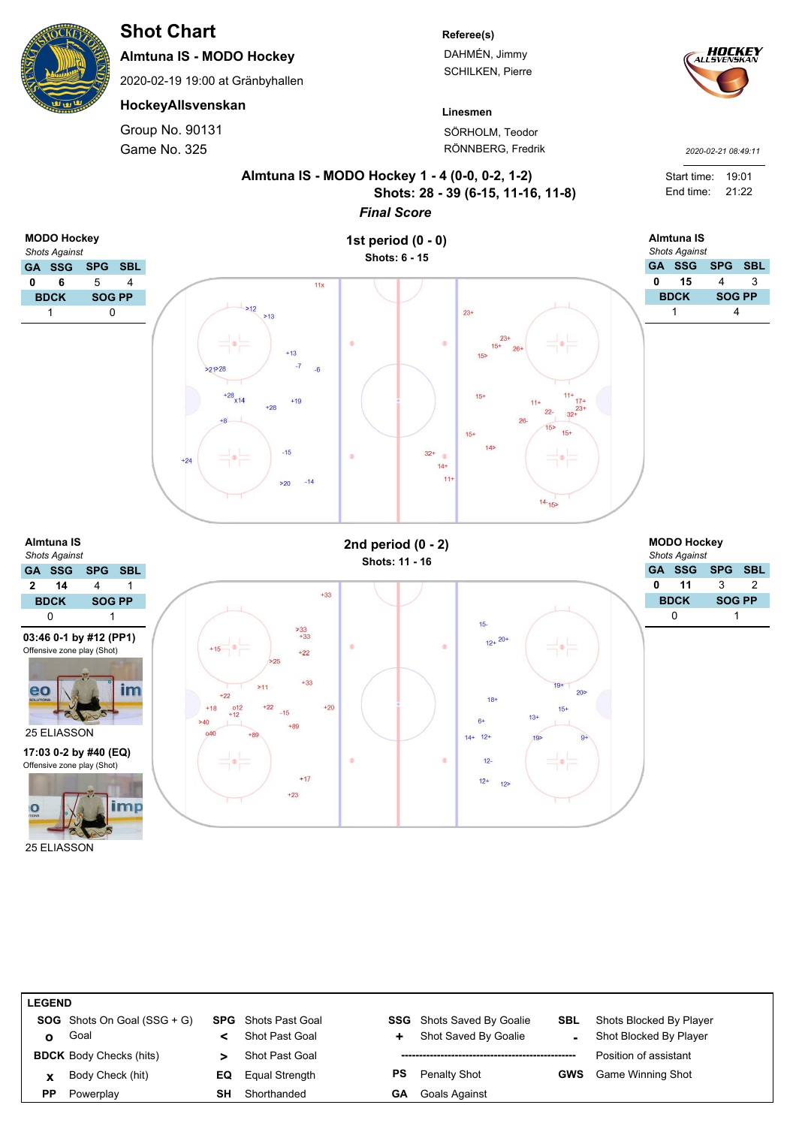25 ELIASSON

eo

í C

# **Shot Chart**

**Almtuna IS - MODO Hockey**

2020-02-19 19:00 at Gränbyhallen

**HockeyAllsvenskan**

Game No. 325 Group No. 90131

## **Referee(s)**

DAHMÉN, Jimmy SCHILKEN, Pierre



*2020-02-21 08:49:11*

**Linesmen** SÖRHOLM, Teodor RÖNNBERG, Fredrik



| <b>LEGEND</b> |                                      |    |                            |    |                                  |            |                          |  |
|---------------|--------------------------------------|----|----------------------------|----|----------------------------------|------------|--------------------------|--|
|               | <b>SOG</b> Shots On Goal $(SSG + G)$ |    | <b>SPG</b> Shots Past Goal |    | <b>SSG</b> Shots Saved By Goalie | <b>SBL</b> | Shots Blocked By Player  |  |
| O             | Goal                                 |    | Shot Past Goal             | ٠  | Shot Saved By Goalie             |            | Shot Blocked By Player   |  |
|               | <b>BDCK</b> Body Checks (hits)       |    | Shot Past Goal             |    |                                  |            | Position of assistant    |  |
| x             | Body Check (hit)                     | EQ | Equal Strength             | PS | Penalty Shot                     | <b>GWS</b> | <b>Game Winning Shot</b> |  |
| РP            | Powerplay                            | SΗ | Shorthanded                | GΑ | <b>Goals Against</b>             |            |                          |  |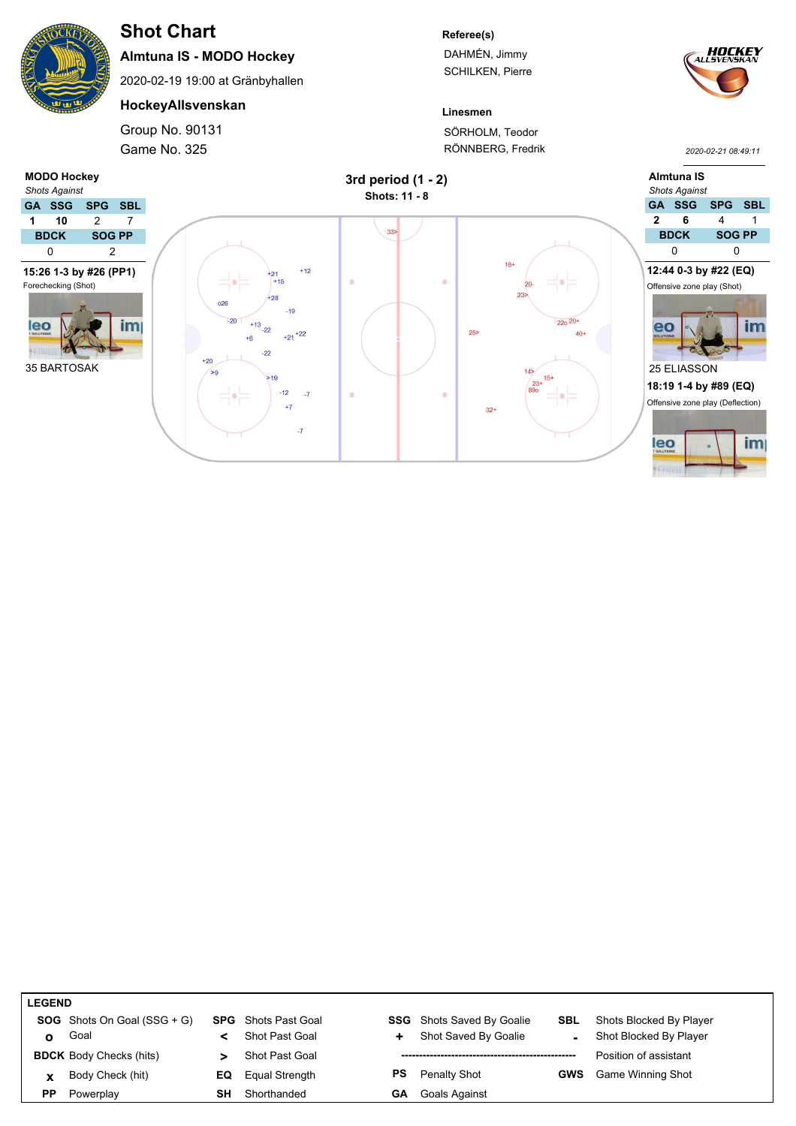

# **Shot Chart**

**Almtuna IS - MODO Hockey**

2020-02-19 19:00 at Gränbyhallen

## **HockeyAllsvenskan**

Game No. 325 Group No. 90131

#### **Referee(s)**

DAHMÉN, Jimmy SCHILKEN, Pierre



*2020-02-21 08:49:11*

**Linesmen** SÖRHOLM, Teodor RÖNNBERG, Fredrik



| <b>LEGEND</b> |                                      |    |                            |           |                                  |            |                         |  |
|---------------|--------------------------------------|----|----------------------------|-----------|----------------------------------|------------|-------------------------|--|
|               | <b>SOG</b> Shots On Goal $(SSG + G)$ |    | <b>SPG</b> Shots Past Goal |           | <b>SSG</b> Shots Saved By Goalie | SBL        | Shots Blocked By Player |  |
| ο             | Goal                                 |    | Shot Past Goal             | ÷.        | Shot Saved By Goalie             |            | Shot Blocked By Player  |  |
|               | <b>BDCK</b> Body Checks (hits)       |    | Shot Past Goal             |           |                                  |            | Position of assistant   |  |
| x             | Body Check (hit)                     | EQ | Equal Strength             | <b>PS</b> | <b>Penalty Shot</b>              | <b>GWS</b> | Game Winning Shot       |  |
| PP            | Powerplay                            | SН | Shorthanded                | GА        | Goals Against                    |            |                         |  |
|               |                                      |    |                            |           |                                  |            |                         |  |